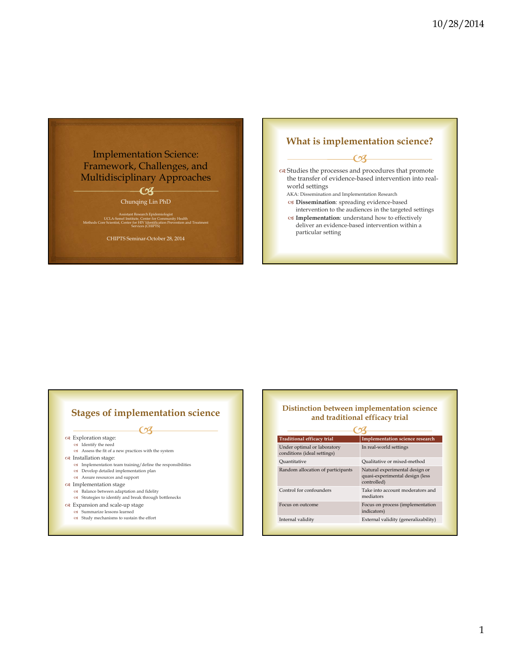# Implementation Science: Framework, Challenges, and Multidisciplinary Approaches

# $\overline{\mathcal{C}}$

Chunqing Lin PhD

Assistant Research Epidemiologist<br>UCLA-Semel Institute, Center for Community Health<br>Methods Core Scientist, Center for HIV Identification Prevention and Treatment<br>Services (CHIPTS)

CHIPTS Seminar-October 28, 2014

### **What is implementation science?**

### $\overline{\mathcal{C}}$

 Studies the processes and procedures that promote the transfer of evidence-based intervention into realworld settings

AKA: Dissemination and Implementation Research **Dissemination**: spreading evidence-based

- intervention to the audiences in the targeted settings **Implementation**: understand how to effectively
- deliver an evidence-based intervention within a particular setting

# **Stages of implementation science**

**CB** 

Exploration stage:

- Identify the need
- Assess the fit of a new practices with the system
- Installation stage:
	- Implementation team training/define the responsibilities
	- Develop detailed implementation plan
	- Assure resources and support
- $\alpha$  Implementation stage
	- $\mathsf{cs}\,\,$  Balance between adaptation and fidelity Strategies to identify and break through bottlenecks
	-
- Expansion and scale-up stage
	- Summarize lessons learned

### $\mathsf{cs}\,\,$  Study mechanisms to sustain the effort

### **Distinction between implementation science and traditional efficacy trial**

| <b>Traditional efficacy trial</b>                          | <b>Implementation science research</b>                                           |  |  |  |
|------------------------------------------------------------|----------------------------------------------------------------------------------|--|--|--|
| Under optimal or laboratory<br>conditions (ideal settings) | In real-world settings                                                           |  |  |  |
| Quantitative                                               | Qualitative or mixed-method                                                      |  |  |  |
| Random allocation of participants                          | Natural experimental design or<br>quasi-experimental design (less<br>controlled) |  |  |  |
| Control for confounders                                    | Take into account moderators and<br>mediators                                    |  |  |  |
| Focus on outcome                                           | Focus on process (implementation<br>indicators)                                  |  |  |  |
| Internal validity                                          | External validity (generalizability)                                             |  |  |  |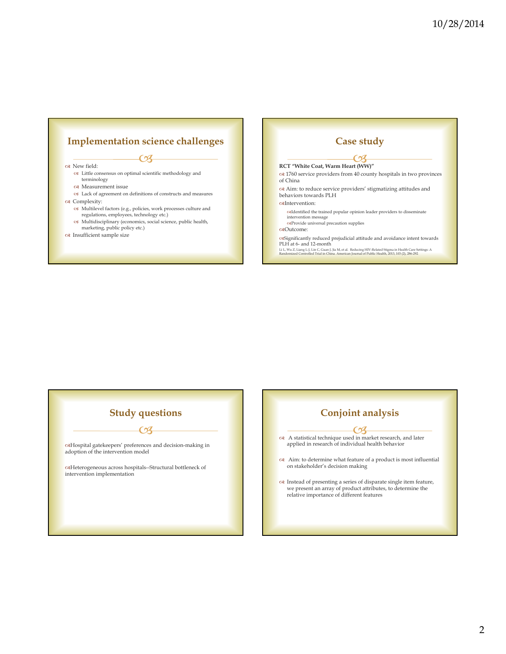# $\overline{\mathcal{C}}$ **Implementation science challenges**

#### oa New field:

- Little consensus on optimal scientific methodology and terminology
- Measurement issue
- Lack of agreement on definitions of constructs and measures ca Complexity:
	-
	- Multilevel factors (e.g., policies, work processes culture and regulations, employees, technology etc.)
	- Multidisciplinary (economics, social science, public health, marketing, public policy etc.)
- $\infty$  Insufficient sample size

### **Case study**

### **RCT "White Coat, Warm Heart (WW)"**   $CZ$

- 1760 service providers from 40 county hospitals in two provinces of China
- $\operatorname{\sf ca}$  Aim: to reduce service providers' stigmatizing attitudes and behaviors towards PLH

#### caIntervention:

- $\operatorname{cəId}$  the trained popular opinion leader providers to disseminate intervention message
- Provide universal precaution supplies Outcome:

Significantly reduced prejudicial attitude and avoidance intent towards PLH at 6- and 12-month

Li L, Wu Z, Liang L-J, Lin C, Guan J, Jia M, et al. Reducing HIV-Related Stigma in Health Care Settings: A Randomized Controlled Trial in China. American Journal of Public Health, 2013, 103 (2), 286-292.

### **Study questions**

 $\bullet$ 

 $\operatorname{\sf \alpha H}$  despital gate<br>keepers' preferences and decision-making in adoption of the intervention model

 $\operatorname{\mathsf{c}\!sH}$  Heterogeneous across hospitals--Structural bottleneck of intervention implementation

### **Conjoint analysis**

- A statistical technique used in market research, and later **CB** applied in research of individual health behavior
- Aim: to determine what feature of a product is most influential on stakeholder's decision making
- Instead of presenting a series of disparate single item feature, we present an array of product attributes, to determine the relative importance of different features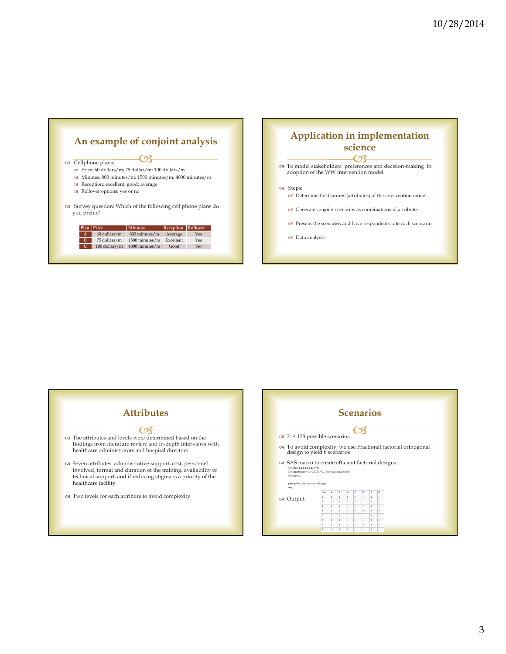

# **Application in implementation science**

To model stakeholders' preferences and decision-making in

adoption of the WW intervention model

#### oa Steps:

- Determine the features (attributes) of the intervention model
- Generate conjoint scenarios as combinations of attributes
- Present the scenarios and have respondents rate each scenrario
- Data analysis



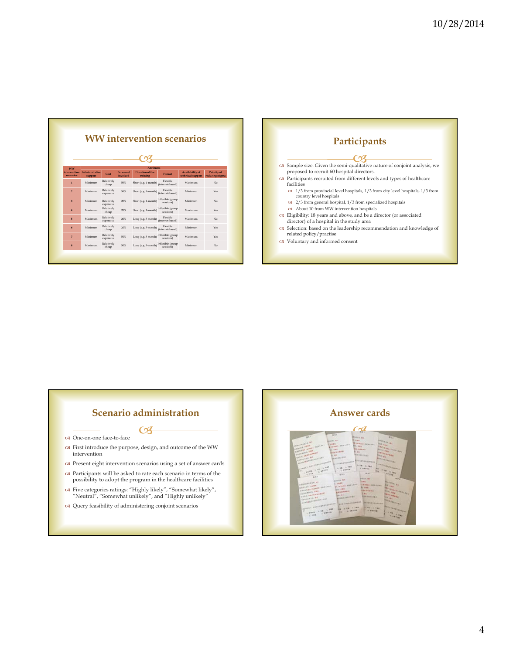|                           | <b>WW</b> intervention scenarios |                         |                       |                             |                                |                                      |                                       |
|---------------------------|----------------------------------|-------------------------|-----------------------|-----------------------------|--------------------------------|--------------------------------------|---------------------------------------|
|                           |                                  |                         |                       |                             |                                |                                      |                                       |
| <b>WW</b>                 | <b>Attributes</b>                |                         |                       |                             |                                |                                      |                                       |
| intervention<br>scenarios | <b>Administrative</b><br>support | Cost                    | Personnel<br>involved | Duration of the<br>training | Format                         | Availability of<br>technical support | <b>Priority of</b><br>reducing stigma |
| $\mathbf{1}$              | Minimum                          | Relatively<br>cheap     | 50%                   | Short (e.g. 1-month)        | Flexible<br>(internet-based)   | Maximum                              | No                                    |
| $\overline{2}$            | Maximum                          | Relatively<br>expensive | 50%                   | Short (e.g. 1-month)        | Flexible<br>(internet-based)   | Minimum                              | Yes                                   |
| $\overline{3}$            | Minimum                          | Relatively<br>expensive | 20%                   | Short (e.g. 1-month)        | Inflexible (group<br>sessions) | Minimum                              | No                                    |
| 4                         | Maximum                          | Relatively<br>cheap     | 20%                   | Short (e.g. 1-month)        | Inflexible (group<br>sessions) | Maximum                              | Yes                                   |
| 5 <sup>5</sup>            | Maximum                          | Relatively<br>expensive | 20%                   | Long (e.g. 3-month)         | Flexible<br>(internet-based)   | Maximum                              | No                                    |
| 6                         | Minimum                          | Relatively<br>cheap     | 20%                   | Long (e.g. 3-month)         | Flexible<br>(internet-based)   | Minimum                              | Yes                                   |
| $\overline{7}$            | Minimum                          | Relatively<br>expensive | 50%                   | Long (e.g. 3-month)         | Inflexible (group<br>sessions) | Maximum                              | Yes                                   |
| 8                         | Maximum                          | Relatively<br>cheap     | 50%                   | Long (e.g. 3-month)         | Inflexible (group<br>sessions) | Minimum                              | No                                    |

Г



### **Scenario administration**

 $\mathcal{C}\hspace{-1pt}\mathcal{S}$ 

- One-on-one face-to-face
- First introduce the purpose, design, and outcome of the WW intervention
- $\propto$  Present eight intervention scenarios using a set of answer cards
- Participants will be asked to rate each scenario in terms of the possibility to adopt the program in the healthcare facilities
- Five categories ratings: "Highly likely", "Somewhat likely", "Neutral", "Somewhat unlikely", and "Highly unlikely"
- Query feasibility of administering conjoint scenarios

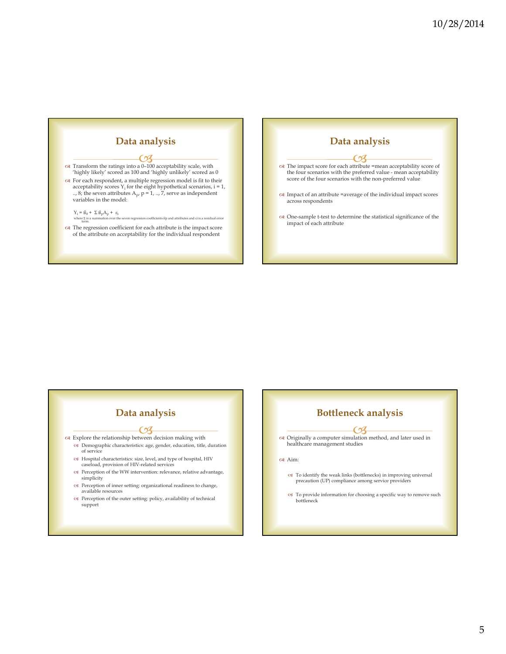

# **Data analysis**

 Explore the relationship between decision making with  $\mathcal{C}\hspace{-1pt}\mathcal{S}$ 

- Demographic characteristics: age, gender, education, title, duration of service
- Hospital characteristics: size, level, and type of hospital, HIV caseload, provision of HIV-related services
- Perception of the WW intervention: relevance, relative advantage, simplicity
- $\infty$  Perception of inner setting: organizational readiness to change, available resources
- Perception of the outer setting: policy, availability of technical support

## **Bottleneck analysis**

 The impact score for each attrib ute =mean acceptability score of CX.

**Data analysis**

 $\alpha$  Impact of an attribute =average of the individual impact scores

One-sample t-test to determine the statistical significance of the

across respondents

impact of each attribute

the four scenarios with the preferred value - mean acceptability score of the four scenarios with the non-preferred value

 Originally a computer simulation method, and later used in <u>CZ</u> healthcare management studies

#### Aim:

- To identify the weak links (bottlenecks) in improving universal precaution (UP) compliance among service providers
- To provide information for choosing a specific way to remove such bottleneck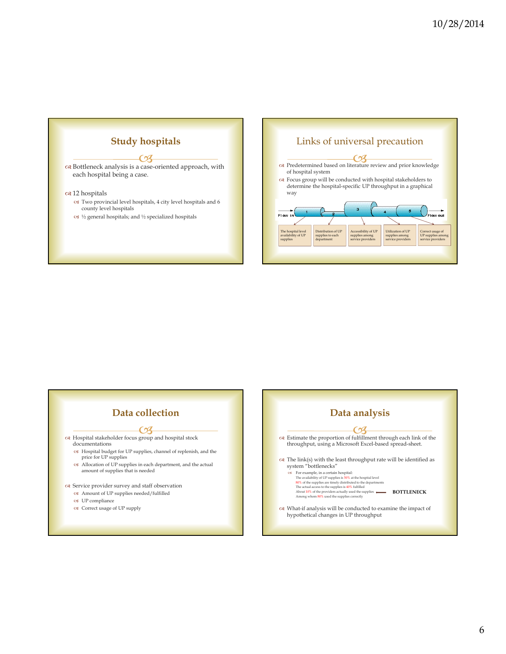



| Data collection                                                                                                                                                                  | Data analysis                                                                                                                                                                                                                                                                                                                                                                                                                                                                                                                                                                                                                                                                                                              |
|----------------------------------------------------------------------------------------------------------------------------------------------------------------------------------|----------------------------------------------------------------------------------------------------------------------------------------------------------------------------------------------------------------------------------------------------------------------------------------------------------------------------------------------------------------------------------------------------------------------------------------------------------------------------------------------------------------------------------------------------------------------------------------------------------------------------------------------------------------------------------------------------------------------------|
| त्य Hospital stakeholder focus group and hospital stock<br>documentations<br><br>Iospital budget for UP supplies, channel of replenish, and the<br>price for UP supplies<br><br> | $\alpha$ Estimate the proportion of fulfillment through each link of the<br>throughput, using a Microsoft Excel-based spread-sheet.<br>$\alpha$ The link(s) with the least throughput rate will be identified as<br>system "bottlenecks"<br>For example, in a certain hospital:<br>OS.<br>The availability of UP supplies is 50% at the hospital level<br>80% of the supplies are timely distributed to the departments<br>The actual access to the supplies is 40% fulfilled<br><b>BOTTLENECK</b><br>About 10% of the providers actually used the supplies<br>Among whom 80% used the supplies correctly<br>$\alpha$ What-if analysis will be conducted to examine the impact of<br>hypothetical changes in UP throughput |

6